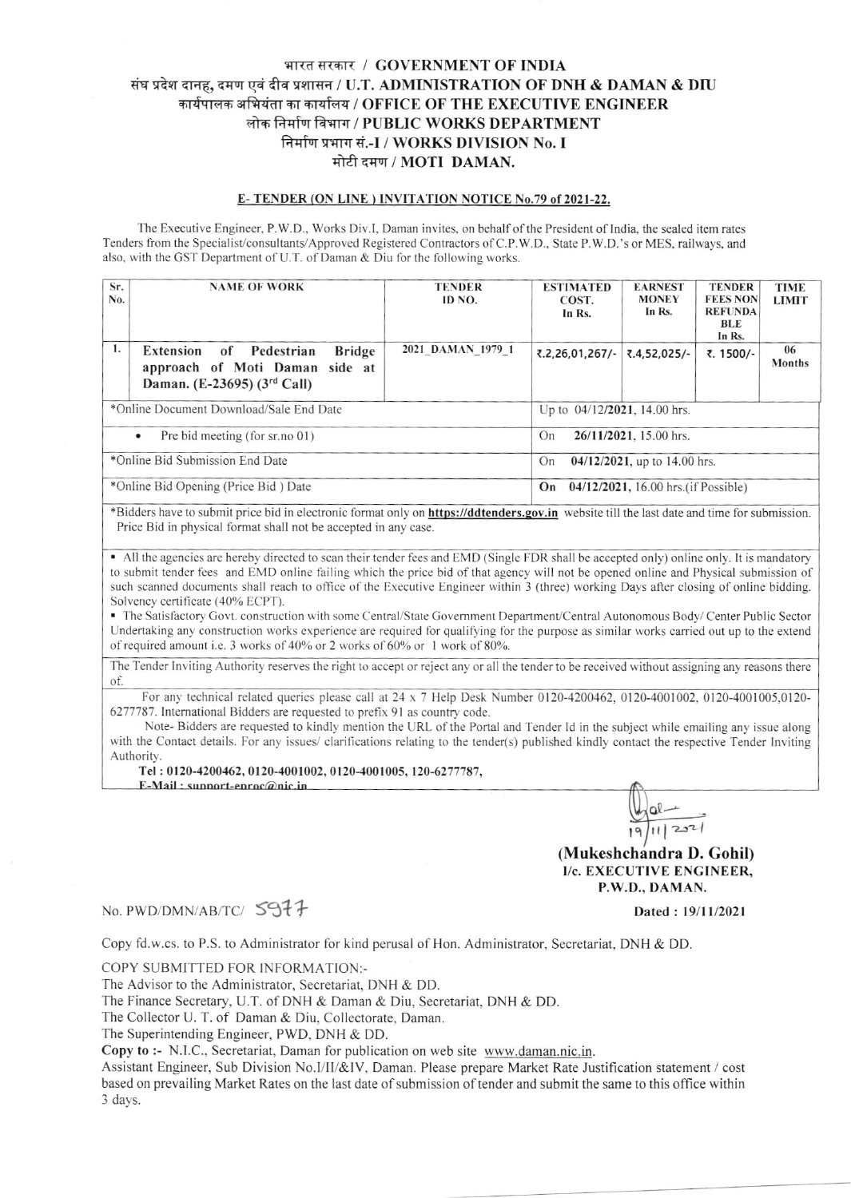## भारत सरकार / GOVERNMENT OF INDIA संघ प्रदेश दानह, दमण एवं दीव प्रशासन / U.T. ADMINISTRATION OF DNH & DAMAN & DIU कार्यपालक अभियंता का कार्यालय / OFFICE OF THE EXECUTIVE ENGINEER लोक निर्माण विभाग / PUBLIC WORKS DEPARTMENT निर्माण प्रभाग सं.-I / WORKS DIVISION No. I मोटी दमण / MOTI DAMAN.

## E-TENDER (ON LINE) INVITATION NOTICE No.79 of 2021-22.

The Executive Engineer, P.W.D., Works Div.I. Daman invites, on behalf of the President of India, the sealed item rates Tenders from the Specialist/consultants/Approved Registered Contractors of C.P.W.D., State P.W.D.'s or MES, railways, and also, with the GST Department of U.T. of Daman & Diu for the following works.

| Sr.<br>No.                           | <b>NAME OF WORK</b>                                                                                               | <b>TENDER</b><br>ID NO.         | <b>ESTIMATED</b><br>COST.<br>In Rs.       | <b>EARNEST</b><br><b>MONEY</b><br>In Rs. | <b>TENDER</b><br><b>FEES NON</b><br><b>REFUNDA</b><br>BLE<br>In Rs. | <b>TIME</b><br><b>LIMIT</b> |  |
|--------------------------------------|-------------------------------------------------------------------------------------------------------------------|---------------------------------|-------------------------------------------|------------------------------------------|---------------------------------------------------------------------|-----------------------------|--|
| 1.                                   | of Pedestrian<br><b>Bridge</b><br>Extension<br>approach of Moti Daman side at<br>Daman. (E-23695) $(3^{rd}$ Call) | 2021 DAMAN 1979 1               | ₹.2,26,01,267/-                           | ₹.4,52,025/-                             | ₹. 1500/-                                                           | 06<br><b>Months</b>         |  |
|                                      | *Online Document Download/Sale End Date                                                                           | Up to 04/12/2021, 14.00 hrs.    |                                           |                                          |                                                                     |                             |  |
|                                      | Pre bid meeting (for sr.no 01)<br>$\bullet$                                                                       | $26/11/2021$ , 15.00 hrs.<br>On |                                           |                                          |                                                                     |                             |  |
| *Online Bid Submission End Date      |                                                                                                                   |                                 | 04/12/2021, up to 14.00 hrs.<br>On        |                                          |                                                                     |                             |  |
| *Online Bid Opening (Price Bid) Date |                                                                                                                   |                                 | 04/12/2021, 16.00 hrs.(if Possible)<br>On |                                          |                                                                     |                             |  |

\*Bidders have to submit price bid in electronic format only on **https://ddtenders.gov.in** website till the last date and time for submission. Price Bid in physical format shall not be accepted in any case.

• All the agencies are hereby directed to scan their tender fees and EMD (Single FDR shall be accepted only) online only. It is mandatory to submit tender fees and EMD online failing which the price bid of that agency will not be opened online and Physical submission of such scanned documents shall reach to office of the Executive Engineer within 3 (three) working Days after closing of online bidding. Solvency certificate (40% ECPT).

• The Satisfactory Govt. construction with some Central/State Government Department/Central Autonomous Body/Center Public Sector Undertaking any construction works experience are required for qualifying for the purpose as similar works carried out up to the extend of required amount i.e. 3 works of 40% or 2 works of 60% or 1 work of 80%.

The Tender Inviting Authority reserves the right to accept or reject any or all the tender to be received without assigning any reasons there of.

For any technical related queries please call at 24 x 7 Help Desk Number 0120-4200462, 0120-4001002, 0120-4001005,0120-6277787. International Bidders are requested to prefix 91 as country code.

Note-Bidders are requested to kindly mention the URL of the Portal and Tender Id in the subject while emailing any issue along with the Contact details. For any issues/ clarifications relating to the tender(s) published kindly contact the respective Tender Inviting Authority.

Tel: 0120-4200462, 0120-4001002, 0120-4001005, 120-6277787,

E-Mail: sunnort-enroc@nic.in

 $\Omega$  $221$ (Mukeshchandra D. Gohil) I/c. EXECUTIVE ENGINEER.

P.W.D., DAMAN.

## No. PWD/DMN/AB/TC/ S977

Dated: 19/11/2021

Copy fd.w.cs. to P.S. to Administrator for kind perusal of Hon. Administrator, Secretariat, DNH & DD.

COPY SUBMITTED FOR INFORMATION:-

The Advisor to the Administrator, Secretariat, DNH & DD.

The Finance Secretary, U.T. of DNH & Daman & Diu, Secretariat, DNH & DD.

The Collector U. T. of Daman & Diu, Collectorate, Daman.

The Superintending Engineer, PWD, DNH & DD.

Copy to :- N.I.C., Secretariat, Daman for publication on web site www.daman.nic.in.

Assistant Engineer, Sub Division No.I/II/&IV, Daman. Please prepare Market Rate Justification statement / cost based on prevailing Market Rates on the last date of submission of tender and submit the same to this office within 3 days.